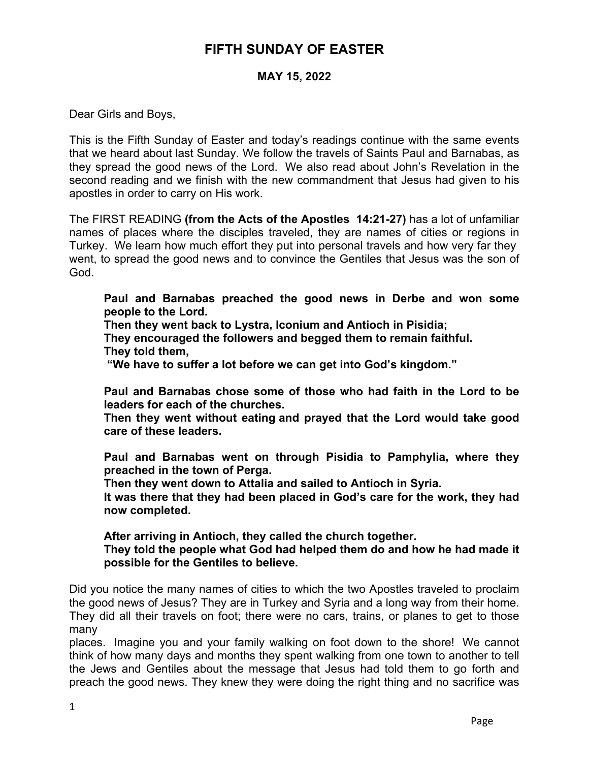## **FIFTH SUNDAY OF EASTER**

## **MAY 15, 2022**

Dear Girls and Boys,

This is the Fifth Sunday of Easter and today's readings continue with the same events that we heard about last Sunday. We follow the travels of Saints Paul and Barnabas, as they spread the good news of the Lord. We also read about John's Revelation in the second reading and we finish with the new commandment that Jesus had given to his apostles in order to carry on His work.

The FIRST READING **(from the Acts of the Apostles 14:21-27)** has a lot of unfamiliar names of places where the disciples traveled, they are names of cities or regions in Turkey. We learn how much effort they put into personal travels and how very far they went, to spread the good news and to convince the Gentiles that Jesus was the son of God.

**Paul and Barnabas preached the good news in Derbe and won some people to the Lord.**

**Then they went back to Lystra, Iconium and Antioch in Pisidia;**

**They encouraged the followers and begged them to remain faithful. They told them,**

 **"We have to suffer a lot before we can get into God's kingdom."**

**Paul and Barnabas chose some of those who had faith in the Lord to be leaders for each of the churches.**

**Then they went without eating and prayed that the Lord would take good care of these leaders.**

**Paul and Barnabas went on through Pisidia to Pamphylia, where they preached in the town of Perga.**

**Then they went down to Attalia and sailed to Antioch in Syria.** 

**It was there that they had been placed in God's care for the work, they had now completed.**

**After arriving in Antioch, they called the church together.**

**They told the people what God had helped them do and how he had made it possible for the Gentiles to believe.**

Did you notice the many names of cities to which the two Apostles traveled to proclaim the good news of Jesus? They are in Turkey and Syria and a long way from their home. They did all their travels on foot; there were no cars, trains, or planes to get to those many

places. Imagine you and your family walking on foot down to the shore! We cannot think of how many days and months they spent walking from one town to another to tell the Jews and Gentiles about the message that Jesus had told them to go forth and preach the good news. They knew they were doing the right thing and no sacrifice was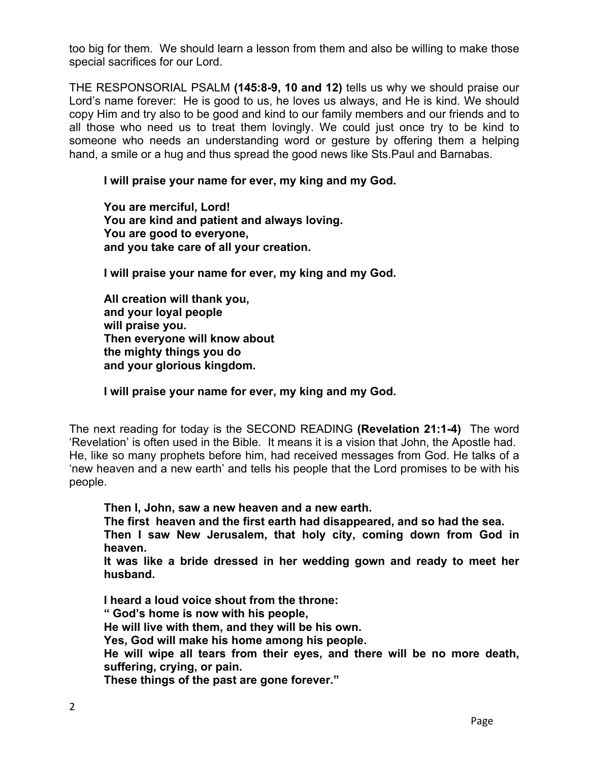too big for them. We should learn a lesson from them and also be willing to make those special sacrifices for our Lord.

THE RESPONSORIAL PSALM **(145:8-9, 10 and 12)** tells us why we should praise our Lord's name forever: He is good to us, he loves us always, and He is kind. We should copy Him and try also to be good and kind to our family members and our friends and to all those who need us to treat them lovingly. We could just once try to be kind to someone who needs an understanding word or gesture by offering them a helping hand, a smile or a hug and thus spread the good news like Sts.Paul and Barnabas.

## **I will praise your name for ever, my king and my God.**

**You are merciful, Lord! You are kind and patient and always loving. You are good to everyone, and you take care of all your creation.**

**I will praise your name for ever, my king and my God.**

**All creation will thank you, and your loyal people will praise you. Then everyone will know about the mighty things you do and your glorious kingdom.**

**I will praise your name for ever, my king and my God.**

The next reading for today is the SECOND READING **(Revelation 21:1-4)** The word 'Revelation' is often used in the Bible. It means it is a vision that John, the Apostle had. He, like so many prophets before him, had received messages from God. He talks of a 'new heaven and a new earth' and tells his people that the Lord promises to be with his people.

**Then I, John, saw a new heaven and a new earth.**

**The first heaven and the first earth had disappeared, and so had the sea. Then I saw New Jerusalem, that holy city, coming down from God in heaven.**

**It was like a bride dressed in her wedding gown and ready to meet her husband.**

**I heard a loud voice shout from the throne: " God's home is now with his people, He will live with them, and they will be his own. Yes, God will make his home among his people. He will wipe all tears from their eyes, and there will be no more death, suffering, crying, or pain. These things of the past are gone forever."**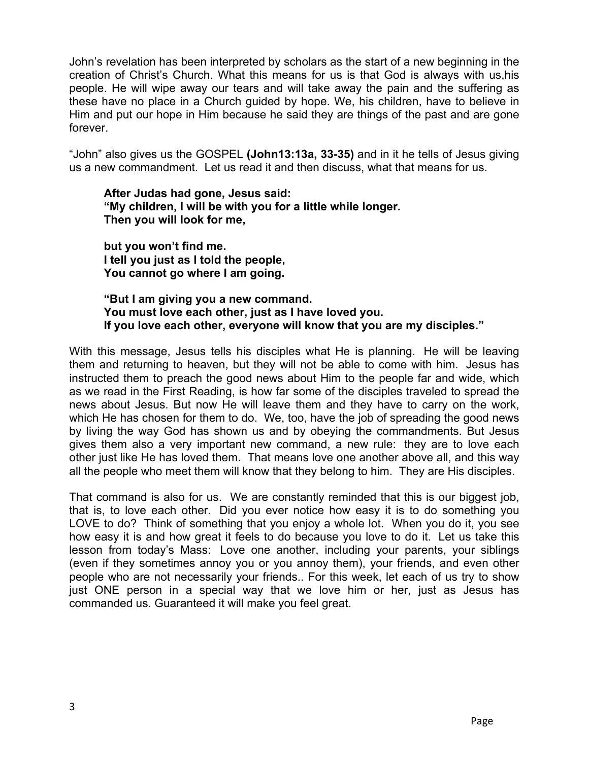John's revelation has been interpreted by scholars as the start of a new beginning in the creation of Christ's Church. What this means for us is that God is always with us,his people. He will wipe away our tears and will take away the pain and the suffering as these have no place in a Church guided by hope. We, his children, have to believe in Him and put our hope in Him because he said they are things of the past and are gone forever.

"John" also gives us the GOSPEL **(John13:13a, 33-35)** and in it he tells of Jesus giving us a new commandment. Let us read it and then discuss, what that means for us.

**After Judas had gone, Jesus said: "My children, I will be with you for a little while longer. Then you will look for me,** 

**but you won't find me. I tell you just as I told the people, You cannot go where I am going.**

**"But I am giving you a new command. You must love each other, just as I have loved you. If you love each other, everyone will know that you are my disciples."**

With this message, Jesus tells his disciples what He is planning. He will be leaving them and returning to heaven, but they will not be able to come with him. Jesus has instructed them to preach the good news about Him to the people far and wide, which as we read in the First Reading, is how far some of the disciples traveled to spread the news about Jesus. But now He will leave them and they have to carry on the work, which He has chosen for them to do. We, too, have the job of spreading the good news by living the way God has shown us and by obeying the commandments. But Jesus gives them also a very important new command, a new rule: they are to love each other just like He has loved them. That means love one another above all, and this way all the people who meet them will know that they belong to him. They are His disciples.

That command is also for us. We are constantly reminded that this is our biggest job, that is, to love each other. Did you ever notice how easy it is to do something you LOVE to do? Think of something that you enjoy a whole lot. When you do it, you see how easy it is and how great it feels to do because you love to do it. Let us take this lesson from today's Mass: Love one another, including your parents, your siblings (even if they sometimes annoy you or you annoy them), your friends, and even other people who are not necessarily your friends.. For this week, let each of us try to show just ONE person in a special way that we love him or her, just as Jesus has commanded us. Guaranteed it will make you feel great.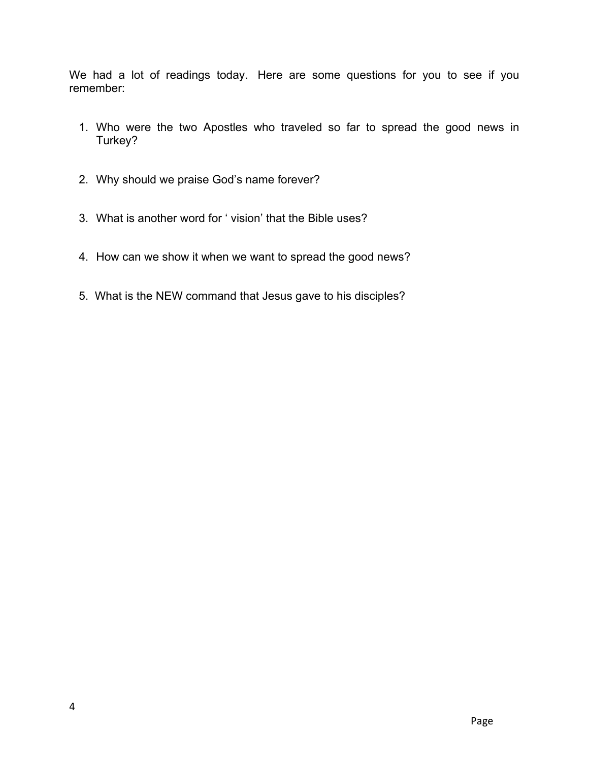We had a lot of readings today. Here are some questions for you to see if you remember:

- 1. Who were the two Apostles who traveled so far to spread the good news in Turkey?
- 2. Why should we praise God's name forever?
- 3. What is another word for ' vision' that the Bible uses?
- 4. How can we show it when we want to spread the good news?
- 5. What is the NEW command that Jesus gave to his disciples?